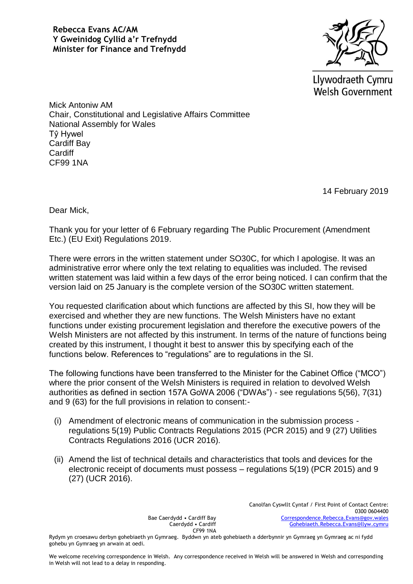

Llywodraeth Cymru **Welsh Government** 

Mick Antoniw AM Chair, Constitutional and Legislative Affairs Committee National Assembly for Wales Tŷ Hywel Cardiff Bay **Cardiff** CF99 1NA

14 February 2019

Dear Mick,

Thank you for your letter of 6 February regarding The Public Procurement (Amendment Etc.) (EU Exit) Regulations 2019.

There were errors in the written statement under SO30C, for which I apologise. It was an administrative error where only the text relating to equalities was included. The revised written statement was laid within a few days of the error being noticed. I can confirm that the version laid on 25 January is the complete version of the SO30C written statement.

You requested clarification about which functions are affected by this SI, how they will be exercised and whether they are new functions. The Welsh Ministers have no extant functions under existing procurement legislation and therefore the executive powers of the Welsh Ministers are not affected by this instrument. In terms of the nature of functions being created by this instrument, I thought it best to answer this by specifying each of the functions below. References to "regulations" are to regulations in the SI.

The following functions have been transferred to the Minister for the Cabinet Office ("MCO") where the prior consent of the Welsh Ministers is required in relation to devolved Welsh authorities as defined in section 157A GoWA 2006 ("DWAs") - see regulations 5(56), 7(31) and 9 (63) for the full provisions in relation to consent:-

- (i) Amendment of electronic means of communication in the submission process regulations 5(19) Public Contracts Regulations 2015 (PCR 2015) and 9 (27) Utilities Contracts Regulations 2016 (UCR 2016).
- (ii) Amend the list of technical details and characteristics that tools and devices for the electronic receipt of documents must possess – regulations 5(19) (PCR 2015) and 9 (27) (UCR 2016).

Bae Caerdydd • Cardiff Bay Caerdydd • Cardiff CF99 1NA Canolfan Cyswllt Cyntaf / First Point of Contact Centre: 0300 0604400 [Correspondence.Rebecca.Evans@gov.wales](mailto:Correspondence.Rebecca.Evans@gov.wales) [Gohebiaeth.Rebecca.Evans@llyw.cymru](mailto:Gohebiaeth.Rebecca.Evans@llyw.cymru)

Rydym yn croesawu derbyn gohebiaeth yn Gymraeg. Byddwn yn ateb gohebiaeth a dderbynnir yn Gymraeg yn Gymraeg ac ni fydd gohebu yn Gymraeg yn arwain at oedi.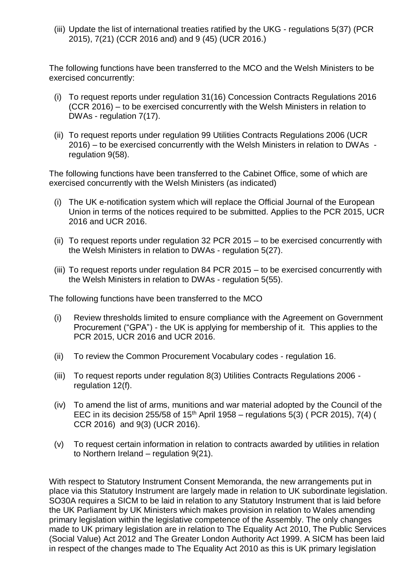(iii) Update the list of international treaties ratified by the UKG - regulations 5(37) (PCR 2015), 7(21) (CCR 2016 and) and 9 (45) (UCR 2016.)

The following functions have been transferred to the MCO and the Welsh Ministers to be exercised concurrently:

- (i) To request reports under regulation 31(16) Concession Contracts Regulations 2016 (CCR 2016) – to be exercised concurrently with the Welsh Ministers in relation to DWAs - regulation 7(17).
- (ii) To request reports under regulation 99 Utilities Contracts Regulations 2006 (UCR 2016) – to be exercised concurrently with the Welsh Ministers in relation to DWAs regulation 9(58).

The following functions have been transferred to the Cabinet Office, some of which are exercised concurrently with the Welsh Ministers (as indicated)

- (i) The UK e-notification system which will replace the Official Journal of the European Union in terms of the notices required to be submitted. Applies to the PCR 2015, UCR 2016 and UCR 2016.
- (ii) To request reports under regulation 32 PCR 2015 to be exercised concurrently with the Welsh Ministers in relation to DWAs - regulation 5(27).
- (iii) To request reports under regulation 84 PCR 2015 to be exercised concurrently with the Welsh Ministers in relation to DWAs - regulation 5(55).

The following functions have been transferred to the MCO

- (i) Review thresholds limited to ensure compliance with the Agreement on Government Procurement ("GPA") - the UK is applying for membership of it. This applies to the PCR 2015, UCR 2016 and UCR 2016.
- (ii) To review the Common Procurement Vocabulary codes regulation 16.
- (iii) To request reports under regulation 8(3) Utilities Contracts Regulations 2006 regulation 12(f).
- (iv) To amend the list of arms, munitions and war material adopted by the Council of the EEC in its decision 255/58 of  $15<sup>th</sup>$  April 1958 – regulations 5(3) (PCR 2015), 7(4) ( CCR 2016) and 9(3) (UCR 2016).
- (v) To request certain information in relation to contracts awarded by utilities in relation to Northern Ireland – regulation 9(21).

With respect to Statutory Instrument Consent Memoranda, the new arrangements put in place via this Statutory Instrument are largely made in relation to UK subordinate legislation. SO30A requires a SICM to be laid in relation to any Statutory Instrument that is laid before the UK Parliament by UK Ministers which makes provision in relation to Wales amending primary legislation within the legislative competence of the Assembly. The only changes made to UK primary legislation are in relation to The Equality Act 2010. The Public Services (Social Value) Act 2012 and The Greater London Authority Act 1999. A SICM has been laid in respect of the changes made to The Equality Act 2010 as this is UK primary legislation